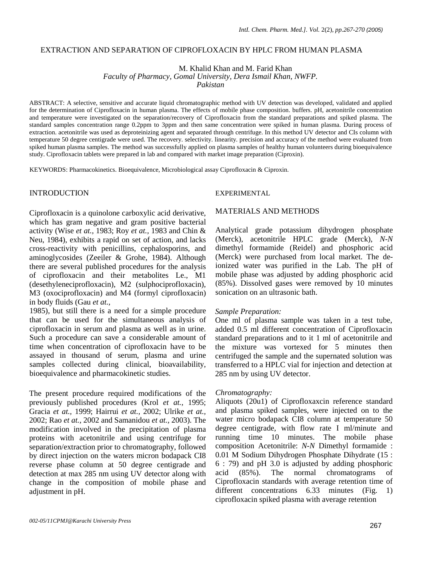## EXTRACTION AND SEPARATION OF CIPROFLOXACIN BY HPLC FROM HUMAN PLASMA

M. Khalid Khan and M. Farid Khan

*Faculty of Pharmacy, Gomal University, Dera Ismail Khan, NWFP.* 

*Pakistan*

ABSTRACT: A selective, sensitive and accurate liquid chromatographic method with UV detection was developed, validated and applied for the determination of Ciprofloxacin in human plasma. The effects of mobile phase composition. buffers. pH, acetonitrile concentration and temperature were investigated on the separation/recovery of Ciprofloxacin from the standard preparations and spiked plasma. The standard samples concentration range 0.2ppm to 3ppm and then same concentration were spiked in human plasma. During process of extraction. acetonitrile was used as deproteinizing agent and separated through centrifuge. In this method UV detector and CIs column with temperature 50 degree centigrade were used. The recovery. selectivity. linearity. precision and accuracy of the method were evaluated from spiked human plasma samples. The method was successfully applied on plasma samples of healthy human volunteers during bioequivalence study. Ciprofloxacin tablets were prepared in lab and compared with market image preparation (Ciproxin).

KEYWORDS: Pharmacokinetics. Bioequivalence, Microbiological assay Ciprofloxacin & Ciproxin.

# INTRODUCTION

Ciprofloxacin is a quinolone carboxylic acid derivative, which has gram negative and gram positive bacterial activity (Wise *et at.,* 1983; Roy *et at.,* 1983 and Chin & Neu, 1984), exhibits a rapid on set of action, and lacks cross-reactivity with penicillins, cephalosporins, and aminoglycosides (Zeeiler & Grohe, 1984). Although there are several published procedures for the analysis of ciprofloxacin and their metabolites Le., M1 (desethyleneciprofloxacin), M2 (sulphociprofloxacin), M3 (oxociprofloxacin) and M4 (formyl ciprofloxacin) in body fluids (Gau *et at.,* 

1985), but still there is a need for a simple procedure that can be used for the simultaneous analysis of ciprofloxacin in serum and plasma as well as in urine. Such a procedure can save a considerable amount of time when concentration of ciprofloxacin have to be assayed in thousand of serum, plasma and urine samples collected during clinical, bioavailability, bioequivalence and pharmacokinetic studies.

The present procedure required modifications of the previously published procedures (Krol *et at.,* 1995; Gracia *et at.,* 1999; Hairrui *et at.,* 2002; Ulrike *et at.,*  2002; Rao *et at.,* 2002 and Samanidou *et at.,* 2003). The modification involved in the precipitation of plasma proteins with acetonitrile and using centrifuge for separation/extraction prior to chromatography, followed by direct injection on the waters micron bodapack CI8 reverse phase column at 50 degree centigrade and detection at max 285 nm using UV detector along with change in the composition of mobile phase and adjustment in pH.

## EXPERIMENTAL

#### MATERIALS AND METHODS

Analytical grade potassium dihydrogen phosphate (Merck), acetonitrile HPLC grade (Merck), *N-N*  dimethyl formamide (Reidel) and phosphoric acid (Merck) were purchased from local market. The deionized water was purified in the Lab. The pH of mobile phase was adjusted by adding phosphoric acid (85%). Dissolved gases were removed by 10 minutes sonication on an ultrasonic bath.

#### *Sample Preparation:*

One ml of plasma sample was taken in a test tube, added 0.5 ml different concentration of Ciprofloxacin standard preparations and to it 1 ml of acetonitrile and the mixture was vortexed for 5 minutes then centrifuged the sample and the supernated solution was transferred to a HPLC vial for injection and detection at 285 nm by using UV detector.

#### *Chromatography:*

Aliquots (20u1) of Ciprofloxaxcin reference standard and plasma spiked samples, were injected on to the water micro bodapack CI8 column at temperature 50 degree centigrade, with flow rate I ml/minute and running time 10 minutes. The mobile phase composition Acetonitrile: *N-N* Dimethyl formamide : 0.01 M Sodium Dihydrogen Phosphate Dihydrate (15 : 6 : 79) and pH 3.0 is adjusted by adding phosphoric acid (85%). The normal chromatograms of Ciprofloxacin standards with average retention time of different concentrations 6.33 minutes (Fig. 1) ciprofloxacin spiked plasma with average retention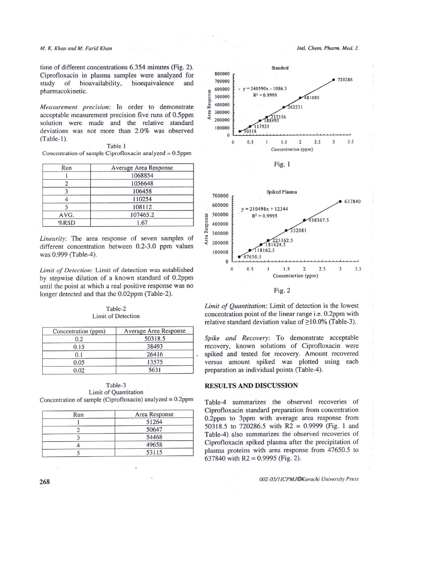#### M. K. Khan and M. Farid Khan

time of different concentrations 6.354 minutes (Fig. 2). Ciprofloxacin in plasma samples were analyzed for study of bioavailability, bioequivalence and pharmacokinetic.

Measurement precision: In order to demonstrate acceptable measurement precision five runs of 0.5ppm solution were made and the relative standard deviations was not more than 2.0% was observed  $(Table-1)$ .

| Table 1 |  |  |                                                            |  |  |  |  |
|---------|--|--|------------------------------------------------------------|--|--|--|--|
|         |  |  | Concentration of sample Ciprofloxacin analyzed $= 0.5$ ppm |  |  |  |  |

| Run     | Average Area Response |  |
|---------|-----------------------|--|
|         | 1068854               |  |
|         | 1056648               |  |
|         | 106458                |  |
|         | 110254                |  |
|         | 108112                |  |
| AVG.    | 107465.2              |  |
| $%$ RSD | 1.67                  |  |

Linearity: The area response of seven samples of different concentration between 0.2-3.0 ppm values was 0.999 (Table-4).

Limit of Detection: Limit of detection was established by stepwise dilution of a known standard of 0.2ppm until the point at which a real positive response was no longer detected and that the 0.02ppm (Table-2).

#### Table-2 Limit of Detection

| Concentration (ppm) | Average Area Response |  |  |
|---------------------|-----------------------|--|--|
| 0.2                 | 50318.5               |  |  |
| 0.15                | 38493                 |  |  |
| 0.1                 | 26416                 |  |  |
| 0.05                | 13575                 |  |  |
| 0.02                | 5631                  |  |  |

Table-3 Limit of Quantitation Concentration of sample (Ciprofloxacin) analyzed = 0.2ppm

| Run | Area Response |  |
|-----|---------------|--|
|     | 51264         |  |
|     | 50647         |  |
|     | 54468         |  |
|     | 49658         |  |
|     | 53115         |  |





Limit of Quantitation: Limit of detection is the lowest concentration point of the linear range i.e. 0.2ppm with relative standard deviation value of  $\geq$ 10.0% (Table-3).

Spike and Recovery: To demonstrate acceptable recovery, known solutions of Ciprofloxacin were spiked and tested for recovery. Amount recovered versus amount spiked was plotted using each preparation as individual points (Table-4).

#### **RESULTS AND DISCUSSION**

Table-4 summarizes the observed recoveries of Ciprofloxacin standard preparation from concentration 0.2ppm to 3ppm with average area response from 50318.5 to 720286.5 with R2 = 0.9999 (Fig. 1 and Table-4) also summarizes the observed recoveries of Ciprofloxacin spiked plasma after the precipitation of plasma proteins with area response from 47650.5 to 637840 with  $R2 = 0.9995$  (Fig. 2).

002-05/11CPMJ©Karachi University Press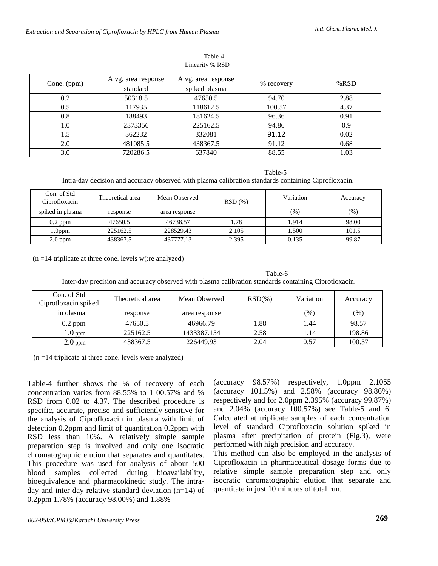| Cone. (ppm) | A vg. area response<br>standard | A vg. area response<br>spiked plasma | % recovery | % $RSD$ |
|-------------|---------------------------------|--------------------------------------|------------|---------|
| 0.2         | 50318.5                         | 47650.5                              | 94.70      | 2.88    |
| 0.5         | 117935                          | 118612.5                             | 100.57     | 4.37    |
| 0.8         | 188493                          | 181624.5                             | 96.36      | 0.91    |
| 1.0         | 2373356                         | 225162.5                             | 94.86      | 0.9     |
| 1.5         | 362232                          | 332081                               | 91.12      | 0.02    |
| 2.0         | 481085.5                        | 438367.5                             | 91.12      | 0.68    |
| 3.0         | 720286.5                        | 637840                               | 88.55      | 1.03    |

Table-4 Linearity % RSD

Table-5 Intra-day decision and accuracy observed with plasma calibration standards containing Ciprofloxacin.

| Con. of Std<br>Ciprofloxacin | Theoretical area | Mean Observed | RSD(%) | Variation | Accuracy |
|------------------------------|------------------|---------------|--------|-----------|----------|
| spiked in plasma             | response         | area response |        | (% )      | (% )     |
| $0.2$ ppm                    | 47650.5          | 46738.57      | 1.78   | 1.914     | 98.00    |
| l.0ppm                       | 225162.5         | 228529.43     | 2.105  | 1.500     | 101.5    |
| $2.0$ ppm                    | 438367.5         | 437777.13     | 2.395  | 0.135     | 99.87    |

 $(n = 14$  triplicate at three cone. levels w(:re analyzed)

Table-6 Inter-dav precision and accuracy observed with plasma calibration standards containing Ciprotloxacin.

| Con. of Std<br>Ciprotloxacin spiked | Theoretical area | Mean Observed | $RSD(\%)$ | Variation | Accuracy |
|-------------------------------------|------------------|---------------|-----------|-----------|----------|
| in olasma                           | response         | area response |           | $(\%)$    | $(\%)$   |
| $0.2$ ppm                           | 47650.5          | 46966.79      | 1.88      | 1.44      | 98.57    |
| 1.0 <sub>ppm</sub>                  | 225162.5         | 1433387.154   | 2.58      | 1.14      | 198.86   |
| $2.0$ ppm                           | 438367.5         | 226449.93     | 2.04      | 0.57      | 100.57   |

 $(n = 14$  triplicate at three cone. levels were analyzed)

Table-4 further shows the % of recovery of each concentration varies from 88.55% to 1 00.57% and % RSD from 0.02 to 4.37. The described procedure is specific, accurate, precise and sufficiently sensitive for the analysis of Ciprofloxacin in plasma with limit of detection 0.2ppm and limit of quantitation 0.2ppm with RSD less than 10%. A relatively simple sample preparation step is involved and only one isocratic chromatographic elution that separates and quantitates. This procedure was used for analysis of about 500 blood samples collected during bioavailability, bioequivalence and pharmacokinetic study. The intraday and inter-day relative standard deviation (n=14) of 0.2ppm 1.78% (accuracy 98.00%) and 1.88%

(accuracy 98.57%) respectively, 1.0ppm 2.1055 (accuracy 101.5%) and 2.58% (accuracy 98.86%) respectively and for 2.0ppm 2.395% (accuracy 99.87%) and 2.04% (accuracy 100.57%) see Table-5 and 6. Calculated at triplicate samples of each concentration level of standard Ciprofloxacin solution spiked in plasma after precipitation of protein (Fig.3), were performed with high precision and accuracy.

This method can also be employed in the analysis of Ciprofloxacin in pharmaceutical dosage forms due to relative simple sample preparation step and only isocratic chromatographic elution that separate and quantitate in just 10 minutes of total run.